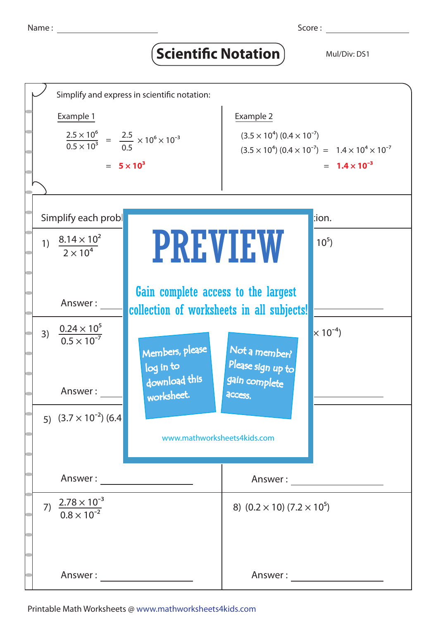## **Scientific Notation** Mul/Div: DS1